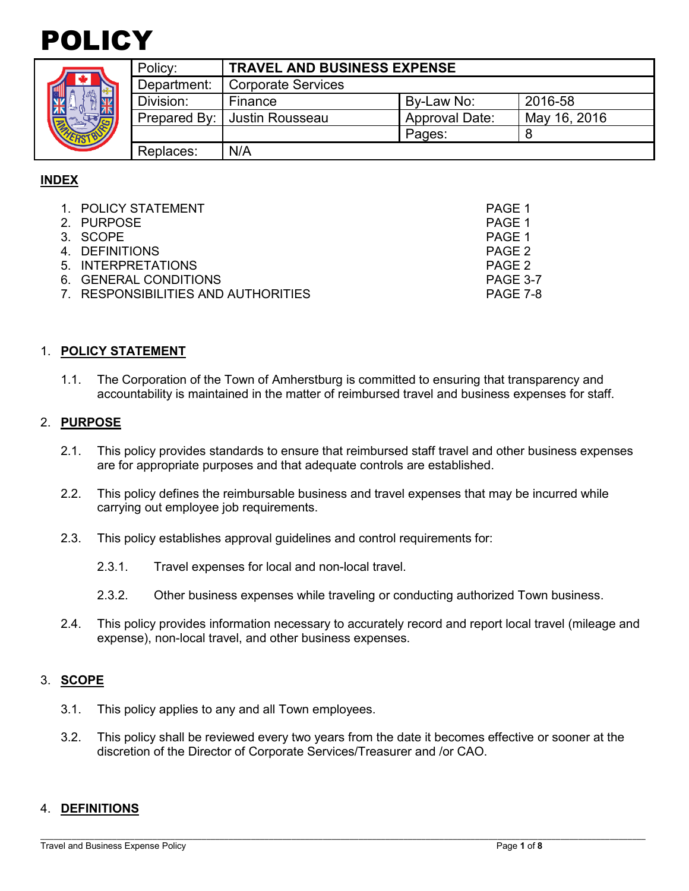# POLICY

|  | Policy:     | <b>TRAVEL AND BUSINESS EXPENSE</b> |                       |              |  |
|--|-------------|------------------------------------|-----------------------|--------------|--|
|  | Department: | <b>Corporate Services</b>          |                       |              |  |
|  | Division:   | Finance                            | By-Law No:            | 2016-58      |  |
|  |             | Prepared By:   Justin Rousseau     | <b>Approval Date:</b> | May 16, 2016 |  |
|  |             |                                    | Pages:                |              |  |
|  | Replaces:   | N/A                                |                       |              |  |

# **INDEX**

| 1. POLICY STATEMENT                 | PAGE 1          |
|-------------------------------------|-----------------|
| 2. PURPOSE                          | PAGE 1          |
| 3. SCOPE                            | PAGE 1          |
| 4. DEFINITIONS                      | PAGE 2          |
| 5. INTERPRETATIONS                  | PAGE 2          |
| 6. GENERAL CONDITIONS               | <b>PAGE 3-7</b> |
| 7. RESPONSIBILITIES AND AUTHORITIES | PAGE 7-8        |

### 1. **POLICY STATEMENT**

1.1. The Corporation of the Town of Amherstburg is committed to ensuring that transparency and accountability is maintained in the matter of reimbursed travel and business expenses for staff.

### 2. **PURPOSE**

- 2.1. This policy provides standards to ensure that reimbursed staff travel and other business expenses are for appropriate purposes and that adequate controls are established.
- 2.2. This policy defines the reimbursable business and travel expenses that may be incurred while carrying out employee job requirements.
- 2.3. This policy establishes approval guidelines and control requirements for:
	- 2.3.1. Travel expenses for local and non-local travel.
	- 2.3.2. Other business expenses while traveling or conducting authorized Town business.
- 2.4. This policy provides information necessary to accurately record and report local travel (mileage and expense), non-local travel, and other business expenses.

# 3. **SCOPE**

- 3.1. This policy applies to any and all Town employees.
- 3.2. This policy shall be reviewed every two years from the date it becomes effective or sooner at the discretion of the Director of Corporate Services/Treasurer and /or CAO.

#### 4. **DEFINITIONS**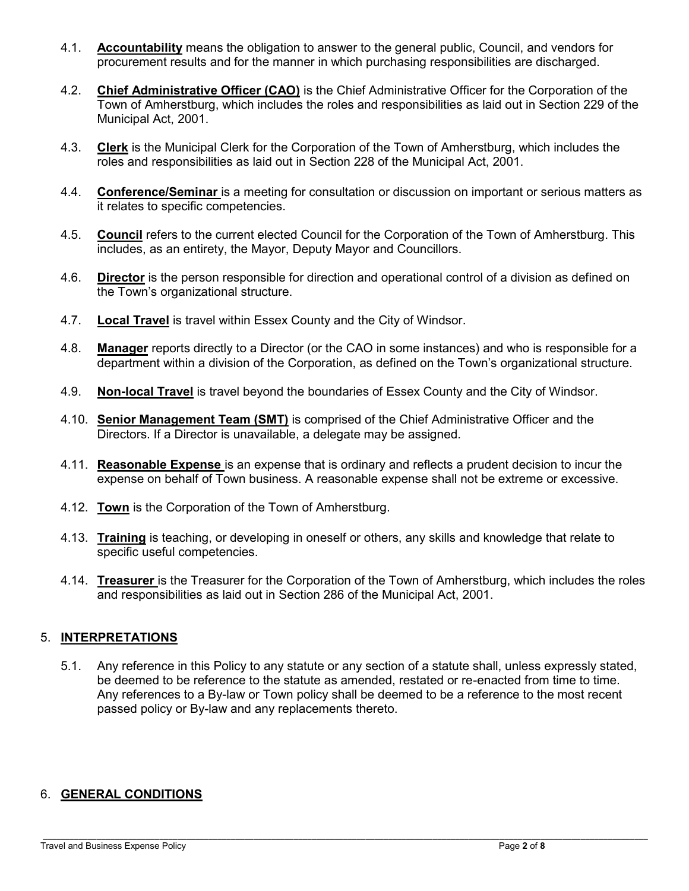- 4.1. **Accountability** means the obligation to answer to the general public, Council, and vendors for procurement results and for the manner in which purchasing responsibilities are discharged.
- 4.2. **Chief Administrative Officer (CAO)** is the Chief Administrative Officer for the Corporation of the Town of Amherstburg, which includes the roles and responsibilities as laid out in Section 229 of the Municipal Act, 2001.
- 4.3. **Clerk** is the Municipal Clerk for the Corporation of the Town of Amherstburg, which includes the roles and responsibilities as laid out in Section 228 of the Municipal Act, 2001.
- 4.4. **Conference/Seminar** is a meeting for consultation or discussion on important or serious matters as it relates to specific competencies.
- 4.5. **Council** refers to the current elected Council for the Corporation of the Town of Amherstburg. This includes, as an entirety, the Mayor, Deputy Mayor and Councillors.
- 4.6. **Director** is the person responsible for direction and operational control of a division as defined on the Town's organizational structure.
- 4.7. **Local Travel** is travel within Essex County and the City of Windsor.
- 4.8. **Manager** reports directly to a Director (or the CAO in some instances) and who is responsible for a department within a division of the Corporation, as defined on the Town's organizational structure.
- 4.9. **Non-local Travel** is travel beyond the boundaries of Essex County and the City of Windsor.
- 4.10. **Senior Management Team (SMT)** is comprised of the Chief Administrative Officer and the Directors. If a Director is unavailable, a delegate may be assigned.
- 4.11. **Reasonable Expense** is an expense that is ordinary and reflects a prudent decision to incur the expense on behalf of Town business. A reasonable expense shall not be extreme or excessive.
- 4.12. **Town** is the Corporation of the Town of Amherstburg.
- 4.13. **Training** is teaching, or developing in oneself or others, any [skills](https://en.wikipedia.org/wiki/Skill) and [knowledge](https://en.wikipedia.org/wiki/Knowledge) that relate to specific [useful](https://en.wikipedia.org/wiki/Practicality) [competencies.](https://en.wikipedia.org/wiki/Competence_(human_resources))
- 4.14. **Treasurer** is the Treasurer for the Corporation of the Town of Amherstburg, which includes the roles and responsibilities as laid out in Section 286 of the Municipal Act, 2001.

# 5. **INTERPRETATIONS**

5.1. Any reference in this Policy to any statute or any section of a statute shall, unless expressly stated, be deemed to be reference to the statute as amended, restated or re-enacted from time to time. Any references to a By-law or Town policy shall be deemed to be a reference to the most recent passed policy or By-law and any replacements thereto.

# 6. **GENERAL CONDITIONS**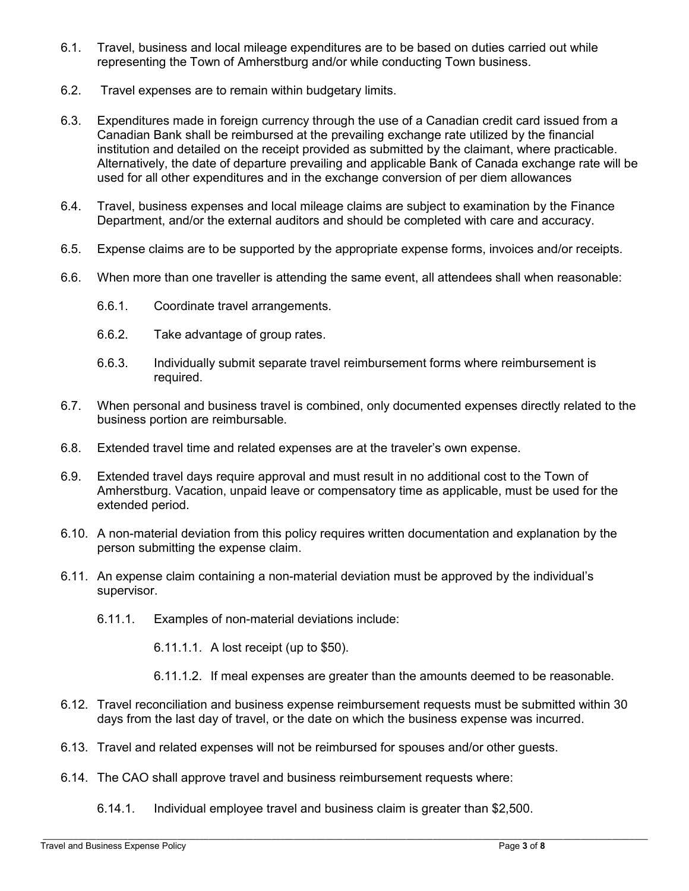- 6.1. Travel, business and local mileage expenditures are to be based on duties carried out while representing the Town of Amherstburg and/or while conducting Town business.
- 6.2. Travel expenses are to remain within budgetary limits.
- 6.3. Expenditures made in foreign currency through the use of a Canadian credit card issued from a Canadian Bank shall be reimbursed at the prevailing exchange rate utilized by the financial institution and detailed on the receipt provided as submitted by the claimant, where practicable. Alternatively, the date of departure prevailing and applicable Bank of Canada exchange rate will be used for all other expenditures and in the exchange conversion of per diem allowances
- 6.4. Travel, business expenses and local mileage claims are subject to examination by the Finance Department, and/or the external auditors and should be completed with care and accuracy.
- 6.5. Expense claims are to be supported by the appropriate expense forms, invoices and/or receipts.
- 6.6. When more than one traveller is attending the same event, all attendees shall when reasonable:
	- 6.6.1. Coordinate travel arrangements.
	- 6.6.2. Take advantage of group rates.
	- 6.6.3. Individually submit separate travel reimbursement forms where reimbursement is required.
- 6.7. When personal and business travel is combined, only documented expenses directly related to the business portion are reimbursable.
- 6.8. Extended travel time and related expenses are at the traveler's own expense.
- 6.9. Extended travel days require approval and must result in no additional cost to the Town of Amherstburg. Vacation, unpaid leave or compensatory time as applicable, must be used for the extended period.
- 6.10. A non-material deviation from this policy requires written documentation and explanation by the person submitting the expense claim.
- 6.11. An expense claim containing a non-material deviation must be approved by the individual's supervisor.
	- 6.11.1. Examples of non-material deviations include:
		- 6.11.1.1. A lost receipt (up to \$50).
		- 6.11.1.2. If meal expenses are greater than the amounts deemed to be reasonable.
- 6.12. Travel reconciliation and business expense reimbursement requests must be submitted within 30 days from the last day of travel, or the date on which the business expense was incurred.
- 6.13. Travel and related expenses will not be reimbursed for spouses and/or other guests.
- 6.14. The CAO shall approve travel and business reimbursement requests where:
	- 6.14.1. Individual employee travel and business claim is greater than \$2,500.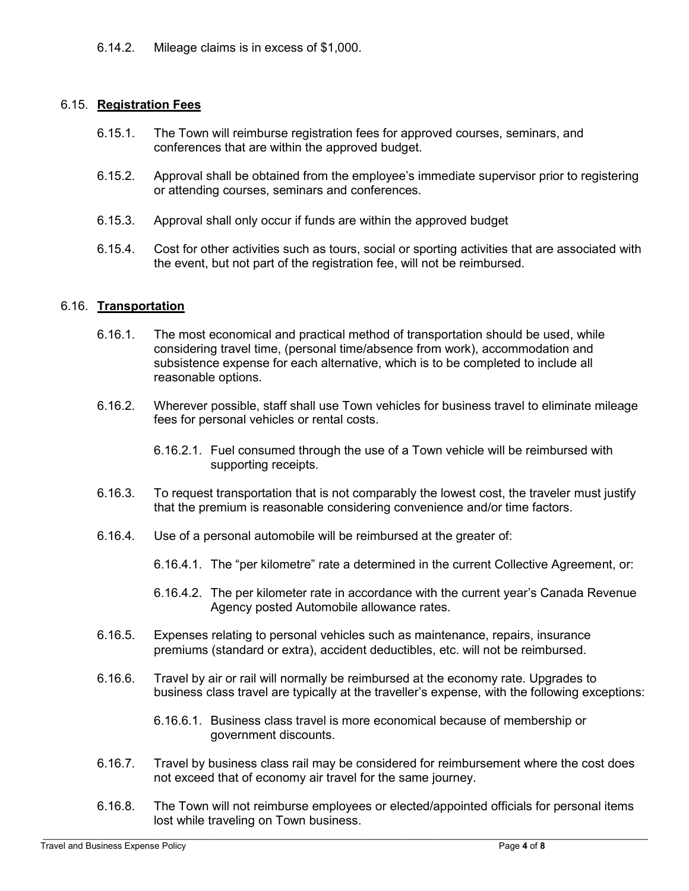6.14.2. Mileage claims is in excess of \$1,000.

# 6.15. **Registration Fees**

- 6.15.1. The Town will reimburse registration fees for approved courses, seminars, and conferences that are within the approved budget.
- 6.15.2. Approval shall be obtained from the employee's immediate supervisor prior to registering or attending courses, seminars and conferences.
- 6.15.3. Approval shall only occur if funds are within the approved budget
- 6.15.4. Cost for other activities such as tours, social or sporting activities that are associated with the event, but not part of the registration fee, will not be reimbursed.

# 6.16. **Transportation**

- 6.16.1. The most economical and practical method of transportation should be used, while considering travel time, (personal time/absence from work), accommodation and subsistence expense for each alternative, which is to be completed to include all reasonable options.
- 6.16.2. Wherever possible, staff shall use Town vehicles for business travel to eliminate mileage fees for personal vehicles or rental costs.
	- 6.16.2.1. Fuel consumed through the use of a Town vehicle will be reimbursed with supporting receipts.
- 6.16.3. To request transportation that is not comparably the lowest cost, the traveler must justify that the premium is reasonable considering convenience and/or time factors.
- 6.16.4. Use of a personal automobile will be reimbursed at the greater of:
	- 6.16.4.1. The "per kilometre" rate a determined in the current Collective Agreement, or:
	- 6.16.4.2. The per kilometer rate in accordance with the current year's Canada Revenue Agency posted Automobile allowance rates.
- 6.16.5. Expenses relating to personal vehicles such as maintenance, repairs, insurance premiums (standard or extra), accident deductibles, etc. will not be reimbursed.
- 6.16.6. Travel by air or rail will normally be reimbursed at the economy rate. Upgrades to business class travel are typically at the traveller's expense, with the following exceptions:
	- 6.16.6.1. Business class travel is more economical because of membership or government discounts.
- 6.16.7. Travel by business class rail may be considered for reimbursement where the cost does not exceed that of economy air travel for the same journey.
- 6.16.8. The Town will not reimburse employees or elected/appointed officials for personal items lost while traveling on Town business.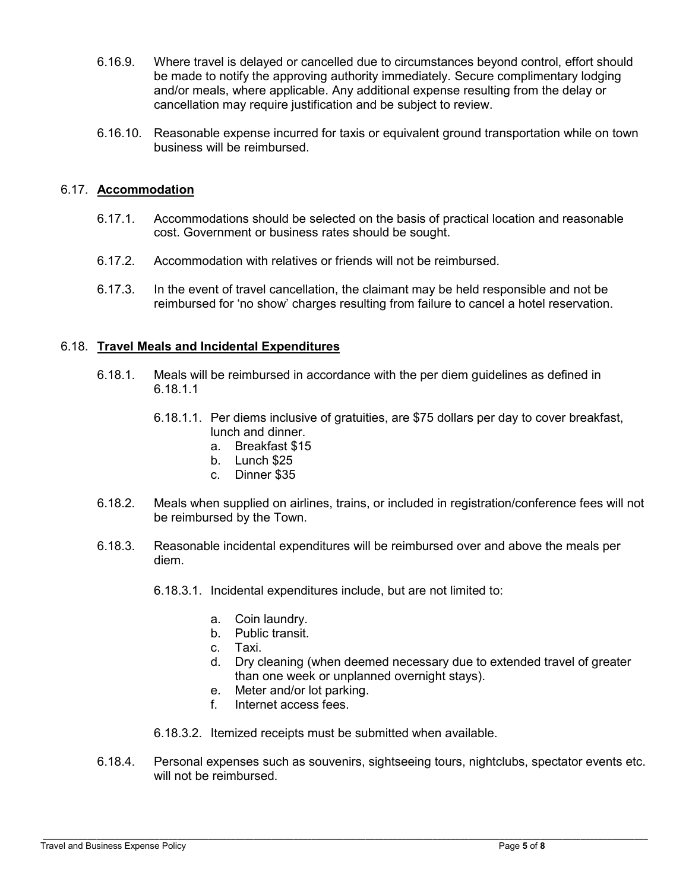- 6.16.9. Where travel is delayed or cancelled due to circumstances beyond control, effort should be made to notify the approving authority immediately. Secure complimentary lodging and/or meals, where applicable. Any additional expense resulting from the delay or cancellation may require justification and be subject to review.
- 6.16.10. Reasonable expense incurred for taxis or equivalent ground transportation while on town business will be reimbursed.

## 6.17. **Accommodation**

- 6.17.1. Accommodations should be selected on the basis of practical location and reasonable cost. Government or business rates should be sought.
- 6.17.2. Accommodation with relatives or friends will not be reimbursed.
- 6.17.3. In the event of travel cancellation, the claimant may be held responsible and not be reimbursed for 'no show' charges resulting from failure to cancel a hotel reservation.

### 6.18. **Travel Meals and Incidental Expenditures**

- 6.18.1. Meals will be reimbursed in accordance with the per diem guidelines as defined in 6.18.1.1
	- 6.18.1.1. Per diems inclusive of gratuities, are \$75 dollars per day to cover breakfast, lunch and dinner.
		- a. Breakfast \$15
		- b. Lunch \$25
		- c. Dinner \$35
- 6.18.2. Meals when supplied on airlines, trains, or included in registration/conference fees will not be reimbursed by the Town.
- 6.18.3. Reasonable incidental expenditures will be reimbursed over and above the meals per diem.
	- 6.18.3.1. Incidental expenditures include, but are not limited to:
		- a. Coin laundry.
		- b. Public transit.
		- c. Taxi.
		- d. Dry cleaning (when deemed necessary due to extended travel of greater than one week or unplanned overnight stays).
		- e. Meter and/or lot parking.
		- f. Internet access fees.
	- 6.18.3.2. Itemized receipts must be submitted when available.
- 6.18.4. Personal expenses such as souvenirs, sightseeing tours, nightclubs, spectator events etc. will not be reimbursed.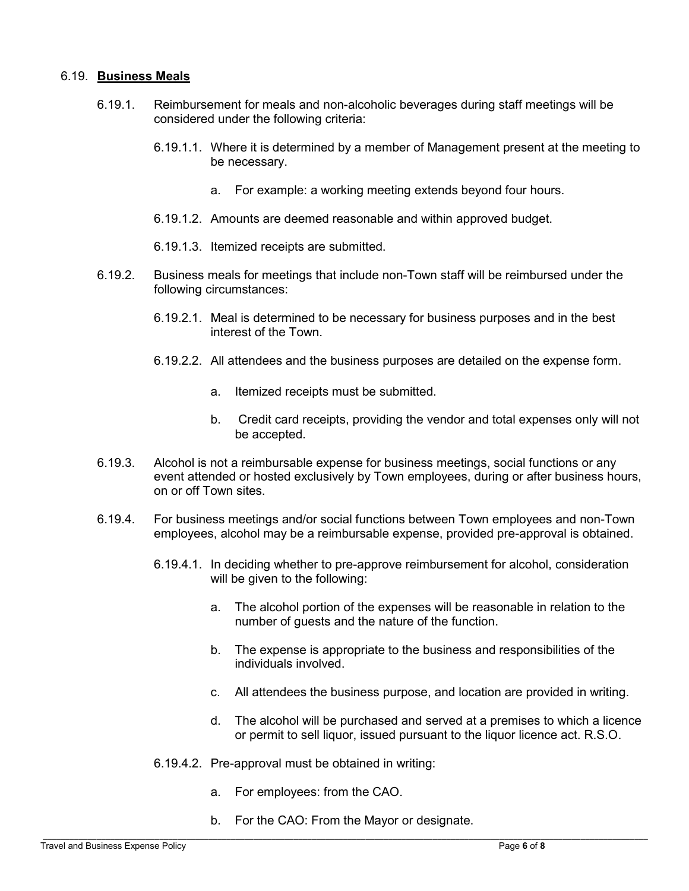#### 6.19. **Business Meals**

- 6.19.1. Reimbursement for meals and non-alcoholic beverages during staff meetings will be considered under the following criteria:
	- 6.19.1.1. Where it is determined by a member of Management present at the meeting to be necessary.
		- a. For example: a working meeting extends beyond four hours.
	- 6.19.1.2. Amounts are deemed reasonable and within approved budget.
	- 6.19.1.3. Itemized receipts are submitted.
- 6.19.2. Business meals for meetings that include non-Town staff will be reimbursed under the following circumstances:
	- 6.19.2.1. Meal is determined to be necessary for business purposes and in the best interest of the Town.
	- 6.19.2.2. All attendees and the business purposes are detailed on the expense form.
		- a. Itemized receipts must be submitted.
		- b. Credit card receipts, providing the vendor and total expenses only will not be accepted.
- 6.19.3. Alcohol is not a reimbursable expense for business meetings, social functions or any event attended or hosted exclusively by Town employees, during or after business hours, on or off Town sites.
- 6.19.4. For business meetings and/or social functions between Town employees and non-Town employees, alcohol may be a reimbursable expense, provided pre-approval is obtained.
	- 6.19.4.1. In deciding whether to pre-approve reimbursement for alcohol, consideration will be given to the following:
		- a. The alcohol portion of the expenses will be reasonable in relation to the number of guests and the nature of the function.
		- b. The expense is appropriate to the business and responsibilities of the individuals involved.
		- c. All attendees the business purpose, and location are provided in writing.
		- d. The alcohol will be purchased and served at a premises to which a licence or permit to sell liquor, issued pursuant to the liquor licence act. R.S.O.
	- 6.19.4.2. Pre-approval must be obtained in writing:
		- a. For employees: from the CAO.
		- b. For the CAO: From the Mayor or designate.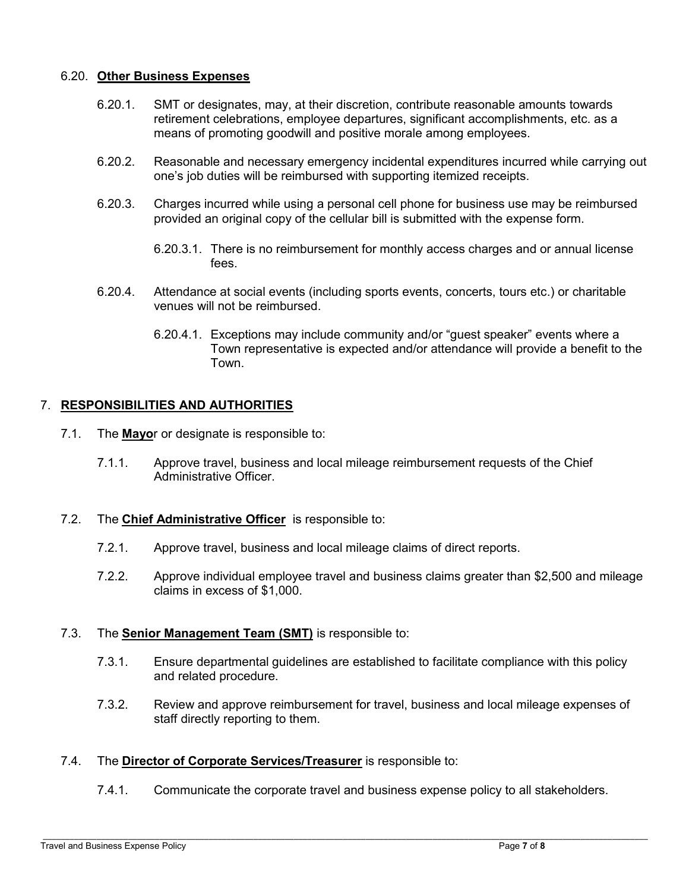### 6.20. **Other Business Expenses**

- 6.20.1. SMT or designates, may, at their discretion, contribute reasonable amounts towards retirement celebrations, employee departures, significant accomplishments, etc. as a means of promoting goodwill and positive morale among employees.
- 6.20.2. Reasonable and necessary emergency incidental expenditures incurred while carrying out one's job duties will be reimbursed with supporting itemized receipts.
- 6.20.3. Charges incurred while using a personal cell phone for business use may be reimbursed provided an original copy of the cellular bill is submitted with the expense form.
	- 6.20.3.1. There is no reimbursement for monthly access charges and or annual license fees.
- 6.20.4. Attendance at social events (including sports events, concerts, tours etc.) or charitable venues will not be reimbursed.
	- 6.20.4.1. Exceptions may include community and/or "guest speaker" events where a Town representative is expected and/or attendance will provide a benefit to the Town.

# 7. **RESPONSIBILITIES AND AUTHORITIES**

- 7.1. The **Mayo**r or designate is responsible to:
	- 7.1.1. Approve travel, business and local mileage reimbursement requests of the Chief Administrative Officer.
- 7.2. The **Chief Administrative Officer** is responsible to:
	- 7.2.1. Approve travel, business and local mileage claims of direct reports.
	- 7.2.2. Approve individual employee travel and business claims greater than \$2,500 and mileage claims in excess of \$1,000.

#### 7.3. The **Senior Management Team (SMT)** is responsible to:

- 7.3.1. Ensure departmental guidelines are established to facilitate compliance with this policy and related procedure.
- 7.3.2. Review and approve reimbursement for travel, business and local mileage expenses of staff directly reporting to them.

#### 7.4. The **Director of Corporate Services/Treasurer** is responsible to:

7.4.1. Communicate the corporate travel and business expense policy to all stakeholders.